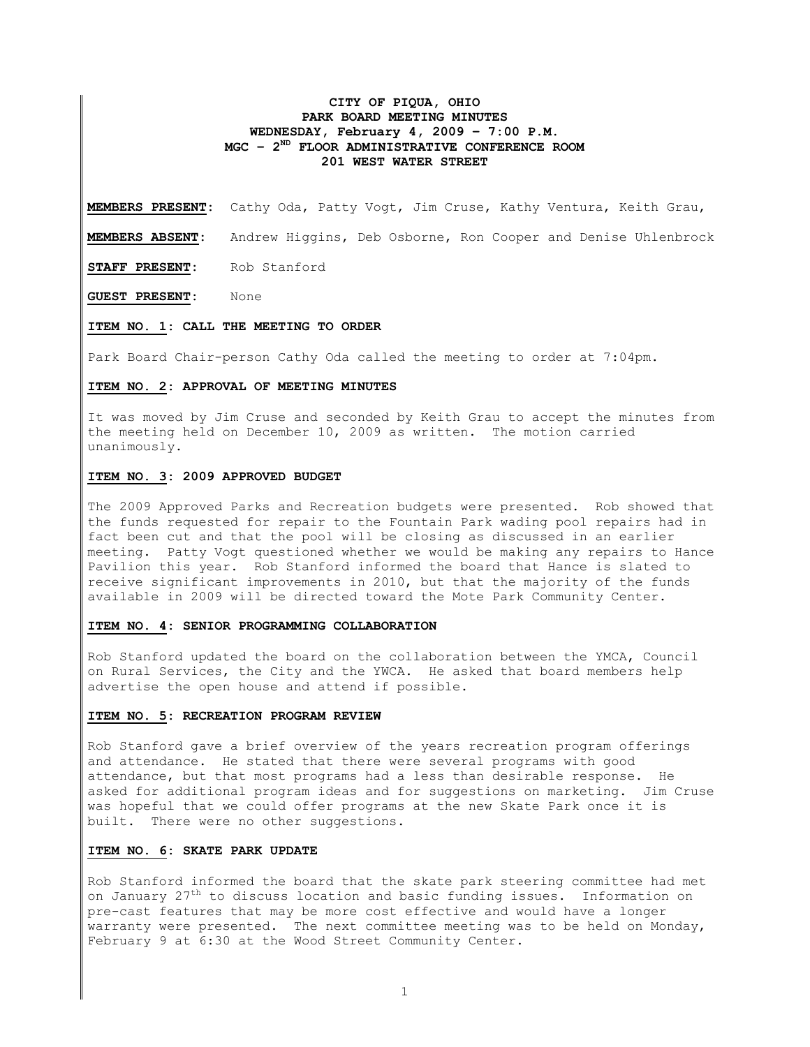# **CITY OF PIQUA, OHIO PARK BOARD MEETING MINUTES WEDNESDAY, February 4, 2009 – 7:00 P.M. MGC – 2ND FLOOR ADMINISTRATIVE CONFERENCE ROOM 201 WEST WATER STREET**

**MEMBERS PRESENT:** Cathy Oda, Patty Vogt, Jim Cruse, Kathy Ventura, Keith Grau,

**MEMBERS ABSENT:** Andrew Higgins, Deb Osborne, Ron Cooper and Denise Uhlenbrock

**STAFF PRESENT:** Rob Stanford

**GUEST PRESENT:** None

#### **ITEM NO. 1: CALL THE MEETING TO ORDER**

Park Board Chair-person Cathy Oda called the meeting to order at 7:04pm.

### **ITEM NO. 2: APPROVAL OF MEETING MINUTES**

It was moved by Jim Cruse and seconded by Keith Grau to accept the minutes from the meeting held on December 10, 2009 as written. The motion carried unanimously.

### **ITEM NO. 3: 2009 APPROVED BUDGET**

The 2009 Approved Parks and Recreation budgets were presented. Rob showed that the funds requested for repair to the Fountain Park wading pool repairs had in fact been cut and that the pool will be closing as discussed in an earlier meeting. Patty Vogt questioned whether we would be making any repairs to Hance Pavilion this year. Rob Stanford informed the board that Hance is slated to receive significant improvements in 2010, but that the majority of the funds available in 2009 will be directed toward the Mote Park Community Center.

# **ITEM NO. 4: SENIOR PROGRAMMING COLLABORATION**

Rob Stanford updated the board on the collaboration between the YMCA, Council on Rural Services, the City and the YWCA. He asked that board members help advertise the open house and attend if possible.

#### **ITEM NO. 5: RECREATION PROGRAM REVIEW**

Rob Stanford gave a brief overview of the years recreation program offerings and attendance. He stated that there were several programs with good attendance, but that most programs had a less than desirable response. He asked for additional program ideas and for suggestions on marketing. Jim Cruse was hopeful that we could offer programs at the new Skate Park once it is built. There were no other suggestions.

## **ITEM NO. 6: SKATE PARK UPDATE**

Rob Stanford informed the board that the skate park steering committee had met on January  $27<sup>th</sup>$  to discuss location and basic funding issues. Information on pre-cast features that may be more cost effective and would have a longer warranty were presented. The next committee meeting was to be held on Monday, February 9 at 6:30 at the Wood Street Community Center.